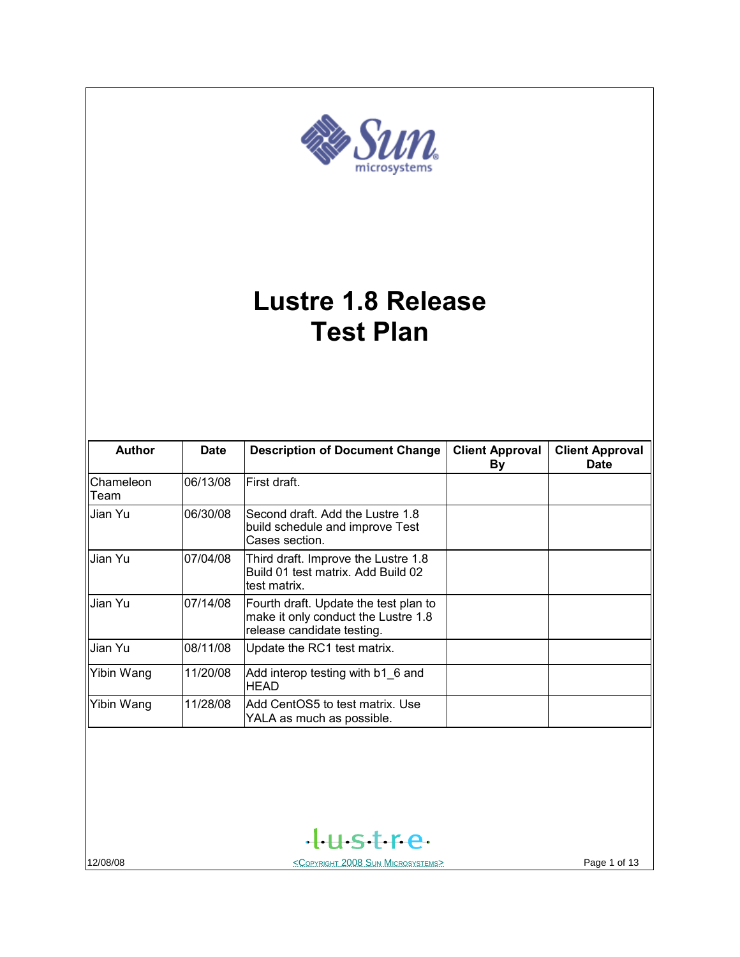

# **Lustre 1.8 Release Test Plan**

| <b>Author</b>     | <b>Date</b> | <b>Description of Document Change</b>                                                                      | <b>Client Approval</b><br>By | <b>Client Approval</b><br><b>Date</b> |
|-------------------|-------------|------------------------------------------------------------------------------------------------------------|------------------------------|---------------------------------------|
| Chameleon<br>Team | 06/13/08    | First draft.                                                                                               |                              |                                       |
| Jian Yu           | 06/30/08    | Second draft. Add the Lustre 1.8<br>build schedule and improve Test<br>Cases section.                      |                              |                                       |
| Jian Yu           | 07/04/08    | Third draft. Improve the Lustre 1.8<br>Build 01 test matrix. Add Build 02<br>test matrix.                  |                              |                                       |
| Jian Yu           | 07/14/08    | Fourth draft. Update the test plan to<br>make it only conduct the Lustre 1.8<br>release candidate testing. |                              |                                       |
| Jian Yu           | 08/11/08    | Update the RC1 test matrix.                                                                                |                              |                                       |
| Yibin Wang        | 11/20/08    | Add interop testing with b1 6 and<br><b>HEAD</b>                                                           |                              |                                       |
| Yibin Wang        | 11/28/08    | Add CentOS5 to test matrix. Use<br>YALA as much as possible.                                               |                              |                                       |



12/08/08 COPYRIGHT 2008 SUN MICROSYSTEMS> Page 1 of 13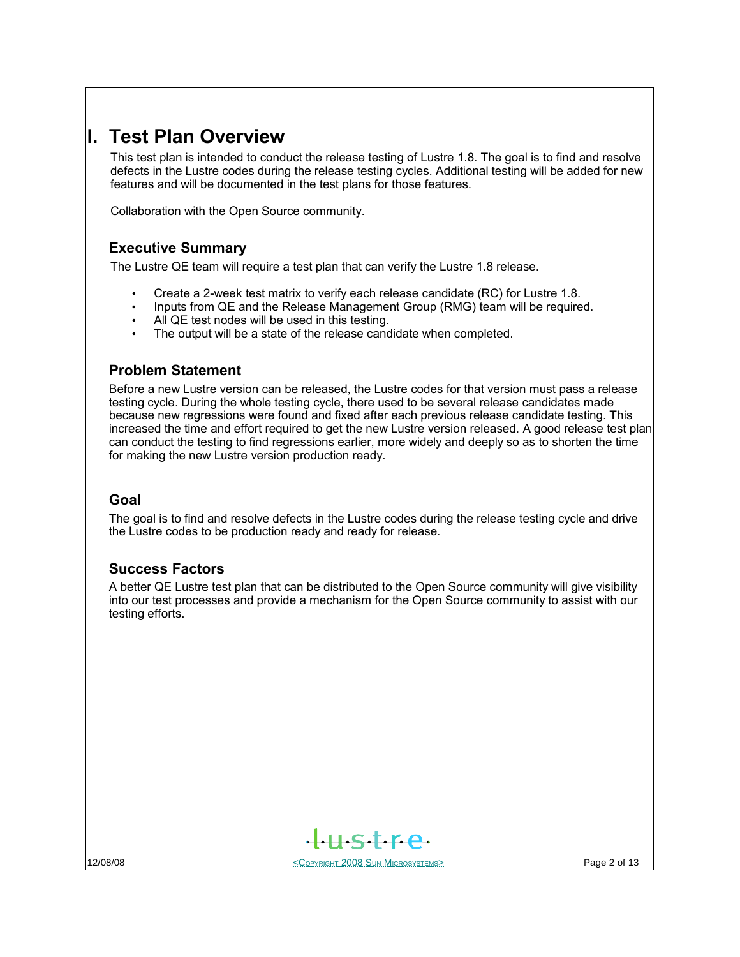## **I. Test Plan Overview**

This test plan is intended to conduct the release testing of Lustre 1.8. The goal is to find and resolve defects in the Lustre codes during the release testing cycles. Additional testing will be added for new features and will be documented in the test plans for those features.

Collaboration with the Open Source community.

## **Executive Summary**

The Lustre QE team will require a test plan that can verify the Lustre 1.8 release.

- Create a 2-week test matrix to verify each release candidate (RC) for Lustre 1.8.
- Inputs from QE and the Release Management Group (RMG) team will be required.
- All QE test nodes will be used in this testing.
- The output will be a state of the release candidate when completed.

### **Problem Statement**

Before a new Lustre version can be released, the Lustre codes for that version must pass a release testing cycle. During the whole testing cycle, there used to be several release candidates made because new regressions were found and fixed after each previous release candidate testing. This increased the time and effort required to get the new Lustre version released. A good release test plan can conduct the testing to find regressions earlier, more widely and deeply so as to shorten the time for making the new Lustre version production ready.

#### **Goal**

The goal is to find and resolve defects in the Lustre codes during the release testing cycle and drive the Lustre codes to be production ready and ready for release.

#### **Success Factors**

A better QE Lustre test plan that can be distributed to the Open Source community will give visibility into our test processes and provide a mechanism for the Open Source community to assist with our testing efforts.



12/08/08 **Page 2 of 13**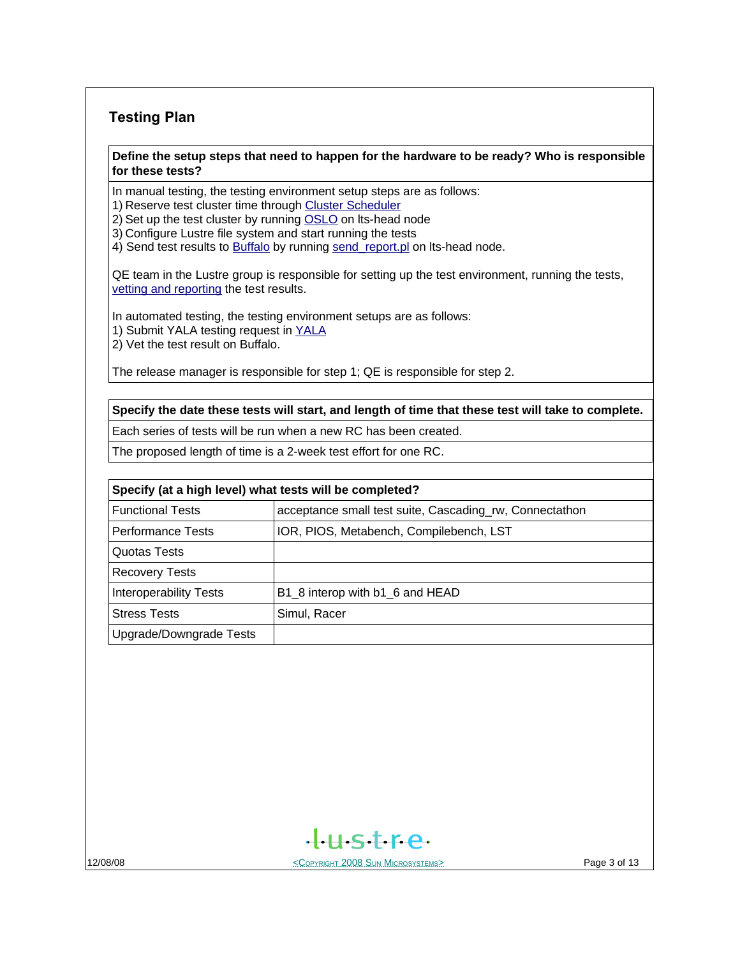## **Testing Plan**

#### **Define the setup steps that need to happen for the hardware to be ready? Who is responsible for these tests?**

In manual testing, the testing environment setup steps are as follows:

1) Reserve test cluster time through [Cluster Scheduler](http://lts-head.lustre.sun.com:8080/)

2) Set up the test cluster by running [OSLO](https://wikis.clusterfs.com/intra/index.php/OSLO) on lts-head node

3) Configure Lustre file system and start running the tests

4) Send test results to [Buffalo](http://lts-head.lustre.sun.com/) by running [send\\_report.pl](https://wikis.clusterfs.com/intra/index.php/Send_report.pl) on lts-head node.

QE team in the Lustre group is responsible for setting up the test environment, running the tests, [vetting and reporting](https://wikis.clusterfs.com/intra/index.php?title=Test_Process#Vetting_and_Reporting_Process) the test results.

In automated testing, the testing environment setups are as follows:

1) Submit YALA testing request in [YALA](http://lts-head.lustre.sun.com/auto)

2) Vet the test result on Buffalo.

The release manager is responsible for step 1; QE is responsible for step 2.

#### **Specify the date these tests will start, and length of time that these test will take to complete.**

Each series of tests will be run when a new RC has been created.

The proposed length of time is a 2-week test effort for one RC.

## **Specify (at a high level) what tests will be completed?** Functional Tests **acceptance small test suite, Cascading rw, Connectathon** Performance Tests | IOR, PIOS, Metabench, Compilebench, LST Quotas Tests Recovery Tests Interoperability Tests  $|B1|8$  interop with b1  $6$  and HEAD Stress Tests **Stress Tests** Simul, Racer Upgrade/Downgrade Tests

 $H<sub>5</sub>$ 

12/08/08 **Page 3 of 13**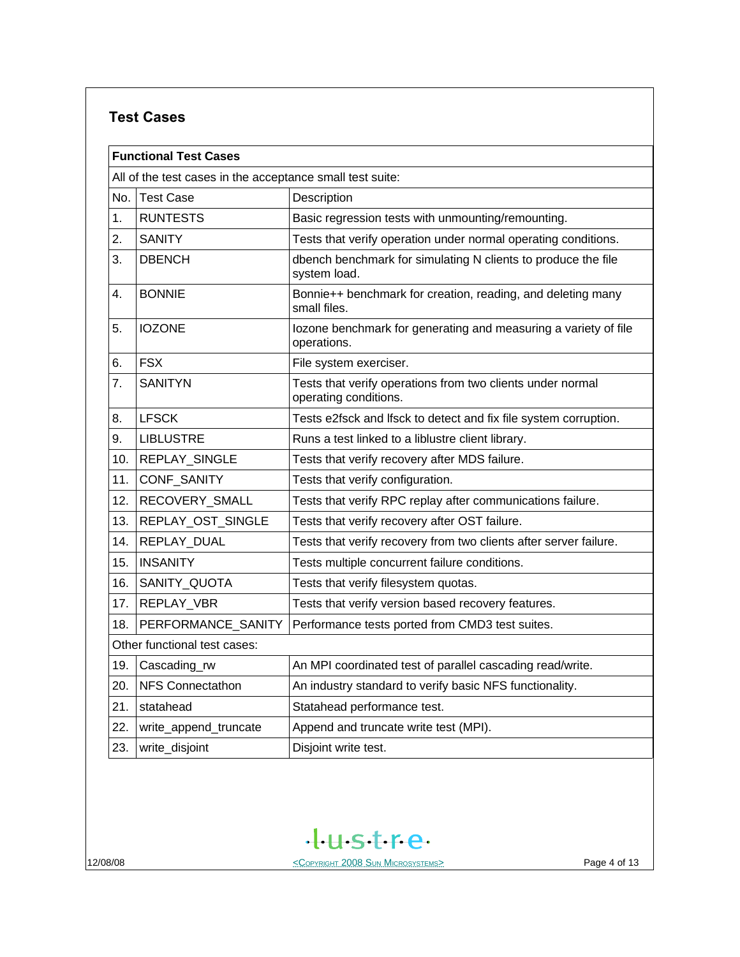## **Test Cases**

|     | <b>Functional Test Cases</b>                              |                                                                                     |  |  |  |  |
|-----|-----------------------------------------------------------|-------------------------------------------------------------------------------------|--|--|--|--|
|     | All of the test cases in the acceptance small test suite: |                                                                                     |  |  |  |  |
| No. | <b>Test Case</b>                                          | Description                                                                         |  |  |  |  |
| 1.  | <b>RUNTESTS</b>                                           | Basic regression tests with unmounting/remounting.                                  |  |  |  |  |
| 2.  | <b>SANITY</b>                                             | Tests that verify operation under normal operating conditions.                      |  |  |  |  |
| 3.  | <b>DBENCH</b>                                             | dbench benchmark for simulating N clients to produce the file<br>system load.       |  |  |  |  |
| 4.  | <b>BONNIE</b>                                             | Bonnie++ benchmark for creation, reading, and deleting many<br>small files.         |  |  |  |  |
| 5.  | <b>IOZONE</b>                                             | lozone benchmark for generating and measuring a variety of file<br>operations.      |  |  |  |  |
| 6.  | <b>FSX</b>                                                | File system exerciser.                                                              |  |  |  |  |
| 7.  | <b>SANITYN</b>                                            | Tests that verify operations from two clients under normal<br>operating conditions. |  |  |  |  |
| 8.  | <b>LFSCK</b>                                              | Tests e2fsck and lfsck to detect and fix file system corruption.                    |  |  |  |  |
| 9.  | <b>LIBLUSTRE</b>                                          | Runs a test linked to a liblustre client library.                                   |  |  |  |  |
| 10. | REPLAY_SINGLE                                             | Tests that verify recovery after MDS failure.                                       |  |  |  |  |
| 11. | CONF_SANITY                                               | Tests that verify configuration.                                                    |  |  |  |  |
| 12. | RECOVERY_SMALL                                            | Tests that verify RPC replay after communications failure.                          |  |  |  |  |
| 13. | REPLAY_OST_SINGLE                                         | Tests that verify recovery after OST failure.                                       |  |  |  |  |
| 14. | REPLAY DUAL                                               | Tests that verify recovery from two clients after server failure.                   |  |  |  |  |
| 15. | <b>INSANITY</b>                                           | Tests multiple concurrent failure conditions.                                       |  |  |  |  |
| 16. | SANITY_QUOTA                                              | Tests that verify filesystem quotas.                                                |  |  |  |  |
| 17. | REPLAY_VBR                                                | Tests that verify version based recovery features.                                  |  |  |  |  |
| 18. | PERFORMANCE SANITY                                        | Performance tests ported from CMD3 test suites.                                     |  |  |  |  |
|     | Other functional test cases:                              |                                                                                     |  |  |  |  |
| 19. | Cascading_rw                                              | An MPI coordinated test of parallel cascading read/write.                           |  |  |  |  |
| 20. | <b>NFS Connectathon</b>                                   | An industry standard to verify basic NFS functionality.                             |  |  |  |  |
| 21. | statahead                                                 | Statahead performance test.                                                         |  |  |  |  |
| 22. | write_append_truncate                                     | Append and truncate write test (MPI).                                               |  |  |  |  |
| 23. | write_disjoint                                            | Disjoint write test.                                                                |  |  |  |  |

tustre.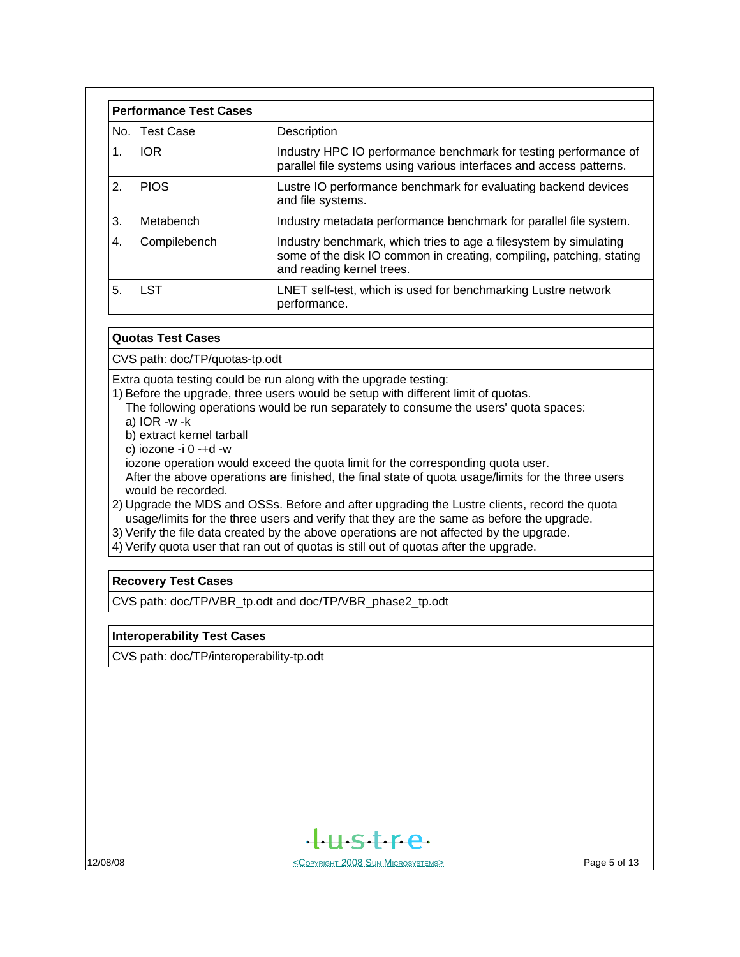| <b>Performance Test Cases</b> |                  |                                                                                                                                                                        |  |  |
|-------------------------------|------------------|------------------------------------------------------------------------------------------------------------------------------------------------------------------------|--|--|
| No.                           | <b>Test Case</b> | Description                                                                                                                                                            |  |  |
| 1.                            | <b>IOR</b>       | Industry HPC IO performance benchmark for testing performance of<br>parallel file systems using various interfaces and access patterns.                                |  |  |
| 2.                            | <b>PIOS</b>      | Lustre IO performance benchmark for evaluating backend devices<br>and file systems.                                                                                    |  |  |
| 3.                            | Metabench        | Industry metadata performance benchmark for parallel file system.                                                                                                      |  |  |
| $\overline{4}$ .              | Compilebench     | Industry benchmark, which tries to age a filesystem by simulating<br>some of the disk IO common in creating, compiling, patching, stating<br>and reading kernel trees. |  |  |
| 5.                            | I ST             | LNET self-test, which is used for benchmarking Lustre network<br>performance.                                                                                          |  |  |

#### **Quotas Test Cases**

CVS path: doc/TP/quotas-tp.odt

Extra quota testing could be run along with the upgrade testing:

1) Before the upgrade, three users would be setup with different limit of quotas.

The following operations would be run separately to consume the users' quota spaces:

- a) IOR -w -k
- b) extract kernel tarball
- c) iozone -i 0 -+d -w

iozone operation would exceed the quota limit for the corresponding quota user.

 After the above operations are finished, the final state of quota usage/limits for the three users would be recorded.

2) Upgrade the MDS and OSSs. Before and after upgrading the Lustre clients, record the quota usage/limits for the three users and verify that they are the same as before the upgrade.

3) Verify the file data created by the above operations are not affected by the upgrade.

4) Verify quota user that ran out of quotas is still out of quotas after the upgrade.

#### **Recovery Test Cases**

CVS path: doc/TP/VBR\_tp.odt and doc/TP/VBR\_phase2\_tp.odt

#### **Interoperability Test Cases**

CVS path: doc/TP/interoperability-tp.odt

 $H<sub>II</sub>$ stre

12/08/08 **Page 5 of 13**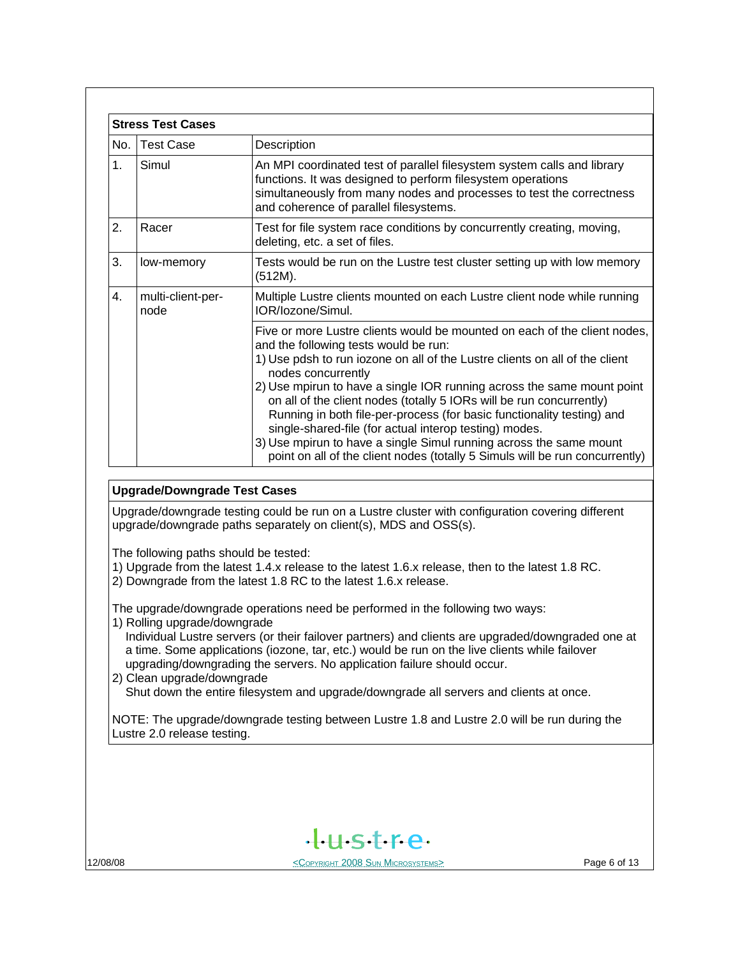|               | <b>Stress Test Cases</b>  |                                                                                                                                                                                                                                                                                                                                                                                                                                                                                                                                                                                                                                                                     |
|---------------|---------------------------|---------------------------------------------------------------------------------------------------------------------------------------------------------------------------------------------------------------------------------------------------------------------------------------------------------------------------------------------------------------------------------------------------------------------------------------------------------------------------------------------------------------------------------------------------------------------------------------------------------------------------------------------------------------------|
| No.           | <b>Test Case</b>          | Description                                                                                                                                                                                                                                                                                                                                                                                                                                                                                                                                                                                                                                                         |
| $\mathbf 1$ . | Simul                     | An MPI coordinated test of parallel filesystem system calls and library<br>functions. It was designed to perform filesystem operations<br>simultaneously from many nodes and processes to test the correctness<br>and coherence of parallel filesystems.                                                                                                                                                                                                                                                                                                                                                                                                            |
| 2.            | Racer                     | Test for file system race conditions by concurrently creating, moving,<br>deleting, etc. a set of files.                                                                                                                                                                                                                                                                                                                                                                                                                                                                                                                                                            |
| 3.            | low-memory                | Tests would be run on the Lustre test cluster setting up with low memory<br>(512M).                                                                                                                                                                                                                                                                                                                                                                                                                                                                                                                                                                                 |
| 4.            | multi-client-per-<br>node | Multiple Lustre clients mounted on each Lustre client node while running<br>IOR/Iozone/Simul.                                                                                                                                                                                                                                                                                                                                                                                                                                                                                                                                                                       |
|               |                           | Five or more Lustre clients would be mounted on each of the client nodes,<br>and the following tests would be run:<br>1) Use pdsh to run iozone on all of the Lustre clients on all of the client<br>nodes concurrently<br>2) Use mpirun to have a single IOR running across the same mount point<br>on all of the client nodes (totally 5 IORs will be run concurrently)<br>Running in both file-per-process (for basic functionality testing) and<br>single-shared-file (for actual interop testing) modes.<br>3) Use mpirun to have a single Simul running across the same mount<br>point on all of the client nodes (totally 5 Simuls will be run concurrently) |

#### **Upgrade/Downgrade Test Cases**

Upgrade/downgrade testing could be run on a Lustre cluster with configuration covering different upgrade/downgrade paths separately on client(s), MDS and OSS(s).

The following paths should be tested:

- 1) Upgrade from the latest 1.4.x release to the latest 1.6.x release, then to the latest 1.8 RC.
- 2) Downgrade from the latest 1.8 RC to the latest 1.6.x release.

The upgrade/downgrade operations need be performed in the following two ways:

- 1) Rolling upgrade/downgrade
	- Individual Lustre servers (or their failover partners) and clients are upgraded/downgraded one at a time. Some applications (iozone, tar, etc.) would be run on the live clients while failover upgrading/downgrading the servers. No application failure should occur.
- 2) Clean upgrade/downgrade Shut down the entire filesystem and upgrade/downgrade all servers and clients at once.

NOTE: The upgrade/downgrade testing between Lustre 1.8 and Lustre 2.0 will be run during the Lustre 2.0 release testing.

 $H<sub>II</sub>$ stre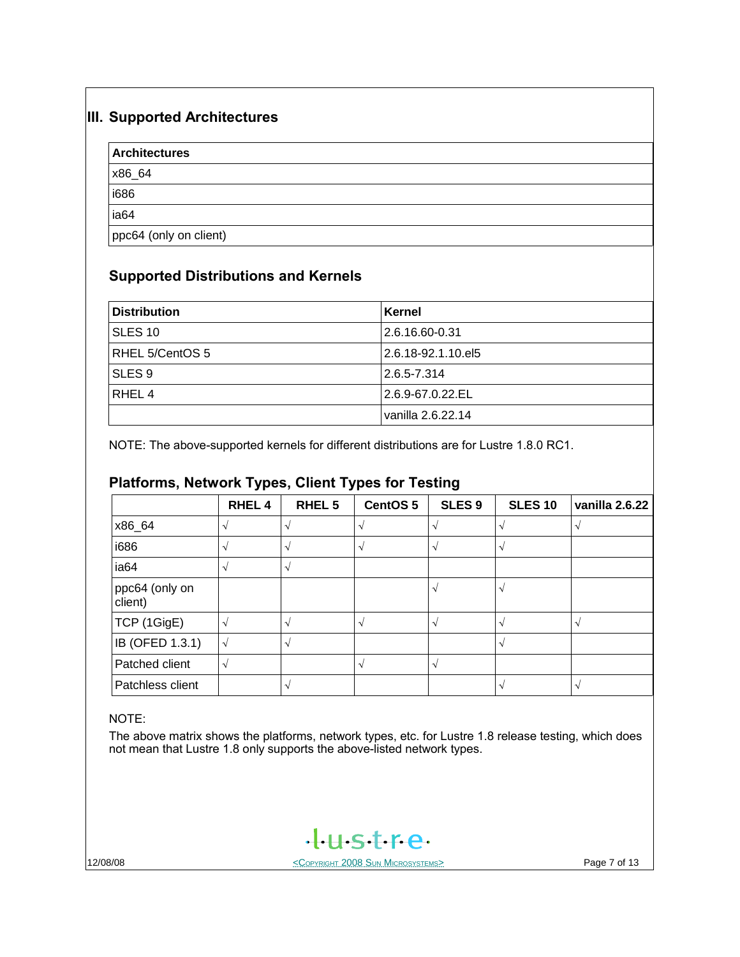## **III. Supported Architectures**

| <b>Architectures</b>   |  |  |
|------------------------|--|--|
| x86_64                 |  |  |
| i686                   |  |  |
| ia <sub>64</sub>       |  |  |
| ppc64 (only on client) |  |  |

## **Supported Distributions and Kernels**

| <b>Distribution</b> | Kernel             |
|---------------------|--------------------|
| <b>SLES 10</b>      | 2.6.16.60-0.31     |
| RHEL 5/CentOS 5     | 2.6.18-92.1.10.el5 |
| SLES <sub>9</sub>   | $2.6.5 - 7.314$    |
| RHEL <sub>4</sub>   | 2.6.9-67.0.22.EL   |
|                     | vanilla 2.6.22.14  |

NOTE: The above-supported kernels for different distributions are for Lustre 1.8.0 RC1.

## **Platforms, Network Types, Client Types for Testing**

|                           | <b>RHEL4</b> | RHEL <sub>5</sub> | CentOS 5       | SLES <sub>9</sub>       | <b>SLES 10</b> | vanilla 2.6.22 |
|---------------------------|--------------|-------------------|----------------|-------------------------|----------------|----------------|
| x86_64                    |              |                   |                | $\mathbf{v}$            |                |                |
| i686                      |              |                   |                | $\sim$                  |                |                |
| ia64                      |              | V                 |                |                         |                |                |
| ppc64 (only on<br>client) |              |                   |                | $\sim$                  |                |                |
| TCP (1GigE)               |              | N                 | $\mathbf \sim$ | $\mathcal{N}$           |                | N              |
| IB (OFED 1.3.1)           | √            |                   |                |                         |                |                |
| Patched client            | √            |                   |                | $\overline{\mathbf{v}}$ |                |                |
| Patchless client          |              |                   |                |                         |                | $\sim$         |

#### NOTE:

The above matrix shows the platforms, network types, etc. for Lustre 1.8 release testing, which does not mean that Lustre 1.8 only supports the above-listed network types.

tustre.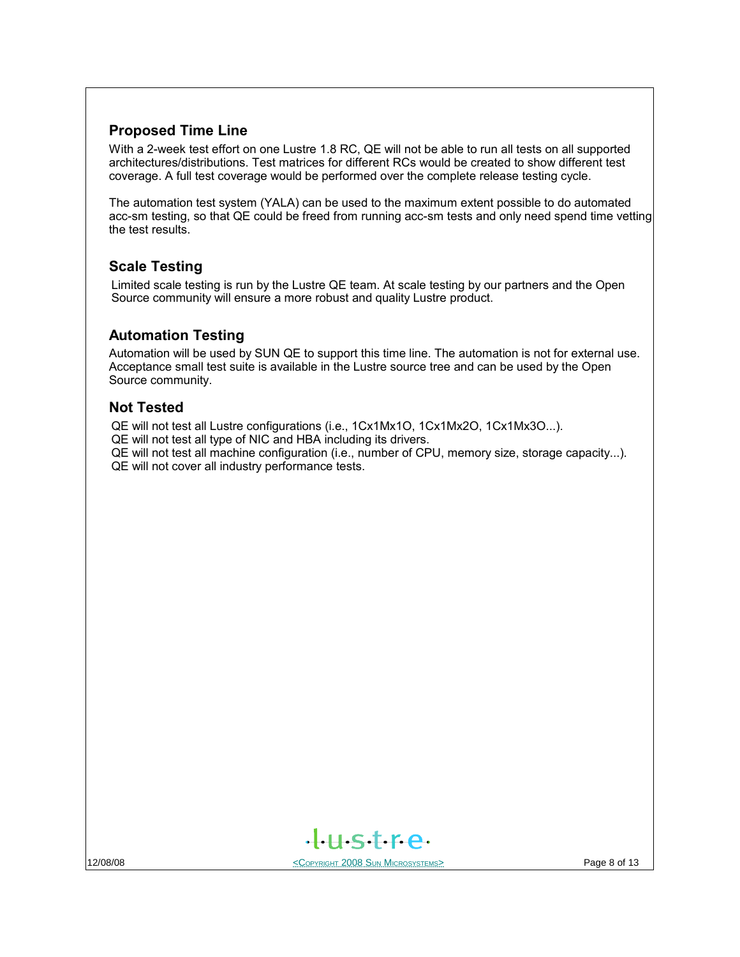## **Proposed Time Line**

With a 2-week test effort on one Lustre 1.8 RC, QE will not be able to run all tests on all supported architectures/distributions. Test matrices for different RCs would be created to show different test coverage. A full test coverage would be performed over the complete release testing cycle.

The automation test system (YALA) can be used to the maximum extent possible to do automated acc-sm testing, so that QE could be freed from running acc-sm tests and only need spend time vetting the test results.

## **Scale Testing**

Limited scale testing is run by the Lustre QE team. At scale testing by our partners and the Open Source community will ensure a more robust and quality Lustre product.

#### **Automation Testing**

Automation will be used by SUN QE to support this time line. The automation is not for external use. Acceptance small test suite is available in the Lustre source tree and can be used by the Open Source community.

### **Not Tested**

QE will not test all Lustre configurations (i.e., 1Cx1Mx1O, 1Cx1Mx2O, 1Cx1Mx3O...).

QE will not test all type of NIC and HBA including its drivers.

QE will not test all machine configuration (i.e., number of CPU, memory size, storage capacity...). QE will not cover all industry performance tests.

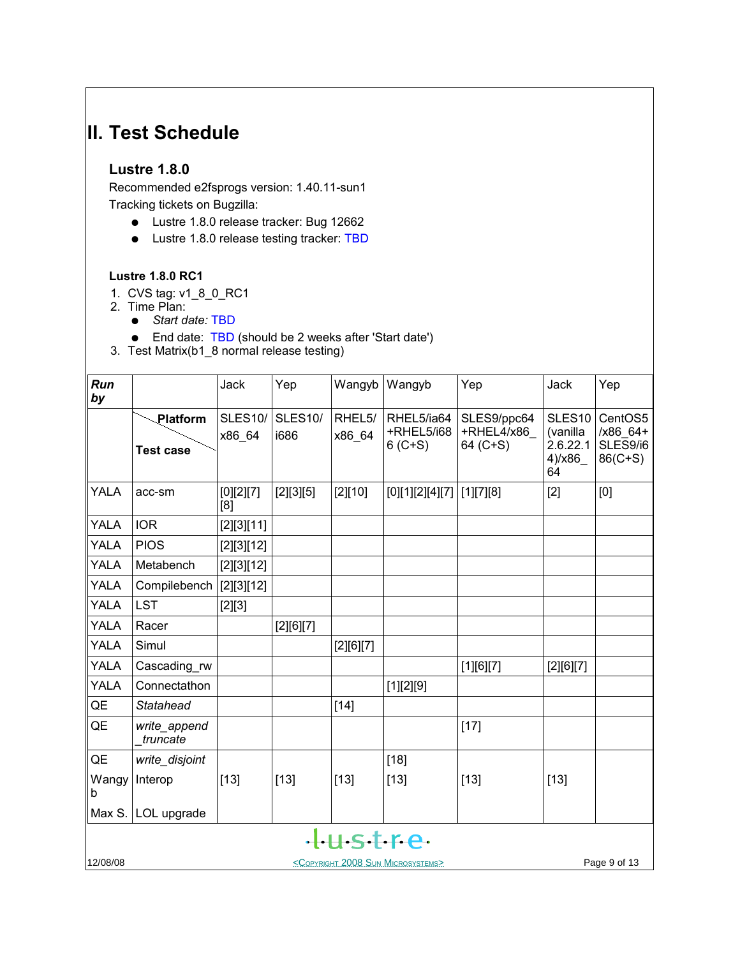## **II. Test Schedule**

#### **Lustre 1.8.0**

Recommended e2fsprogs version: 1.40.11-sun1 Tracking tickets on Bugzilla:

- Lustre 1.8.0 release tracker: Bug 12662
- Lustre 1.8.0 release testing tracker: TBD

#### **Lustre 1.8.0 RC1**

- 1. CVS tag: v1\_8\_0\_RC1
- 2. Time Plan:
	- *Start date:* TBD
	- End date: TBD (should be 2 weeks after 'Start date')

3. Test Matrix(b1\_8 normal release testing)

| Run<br>by   |                                                                        | Jack                     | Yep                    | Wangyb           | Wangyb                                  | Yep                                   | Jack                                                       | Yep                                          |
|-------------|------------------------------------------------------------------------|--------------------------|------------------------|------------------|-----------------------------------------|---------------------------------------|------------------------------------------------------------|----------------------------------------------|
|             | Platform<br><b>Test case</b>                                           | <b>SLES10/</b><br>x86 64 | <b>SLES10/</b><br>i686 | RHEL5/<br>x86 64 | RHEL5/ia64<br>+RHEL5/i68<br>$6 (C + S)$ | SLES9/ppc64<br>+RHEL4/x86<br>64 (C+S) | SLES <sub>10</sub><br>(vanilla<br>2.6.22.1<br>4)/x86<br>64 | CentOS5<br>$/x86_64+$<br>SLES9/i6<br>86(C+S) |
| <b>YALA</b> | acc-sm                                                                 | $[0][2][7]$<br>[8]       | [2][3][5]              | $[2][10]$        | [0][1][2][4][7]                         | $[1][7][8]$                           | $[2]$                                                      | [0]                                          |
| <b>YALA</b> | <b>IOR</b>                                                             | [2][3][11]               |                        |                  |                                         |                                       |                                                            |                                              |
| <b>YALA</b> | <b>PIOS</b>                                                            | [2][3][12]               |                        |                  |                                         |                                       |                                                            |                                              |
| <b>YALA</b> | Metabench                                                              | [2][3][12]               |                        |                  |                                         |                                       |                                                            |                                              |
| YALA        | Compilebench                                                           | [2][3][12]               |                        |                  |                                         |                                       |                                                            |                                              |
| YALA        | <b>LST</b>                                                             | $[2][3]$                 |                        |                  |                                         |                                       |                                                            |                                              |
| <b>YALA</b> | Racer                                                                  |                          | [2][6][7]              |                  |                                         |                                       |                                                            |                                              |
| YALA        | Simul                                                                  |                          |                        | [2][6][7]        |                                         |                                       |                                                            |                                              |
| <b>YALA</b> | Cascading rw                                                           |                          |                        |                  |                                         | [1][6][7]                             | [2][6][7]                                                  |                                              |
| <b>YALA</b> | Connectathon                                                           |                          |                        |                  | [1][2][9]                               |                                       |                                                            |                                              |
| QE          | <b>Statahead</b>                                                       |                          |                        | $[14]$           |                                         |                                       |                                                            |                                              |
| QE          | write_append<br>truncate                                               |                          |                        |                  |                                         | $[17]$                                |                                                            |                                              |
| QE          | write_disjoint                                                         |                          |                        |                  | $[18]$                                  |                                       |                                                            |                                              |
| Wangy<br>b  | Interop                                                                | $[13]$                   | $[13]$                 | $[13]$           | $[13]$                                  | $[13]$                                | $[13]$                                                     |                                              |
| Max S.      | LOL upgrade                                                            |                          |                        |                  |                                         |                                       |                                                            |                                              |
|             | tustre                                                                 |                          |                        |                  |                                         |                                       |                                                            |                                              |
| 12/08/08    | Page 9 of 13<br><copyright 2008="" microsystems="" sun=""></copyright> |                          |                        |                  |                                         |                                       |                                                            |                                              |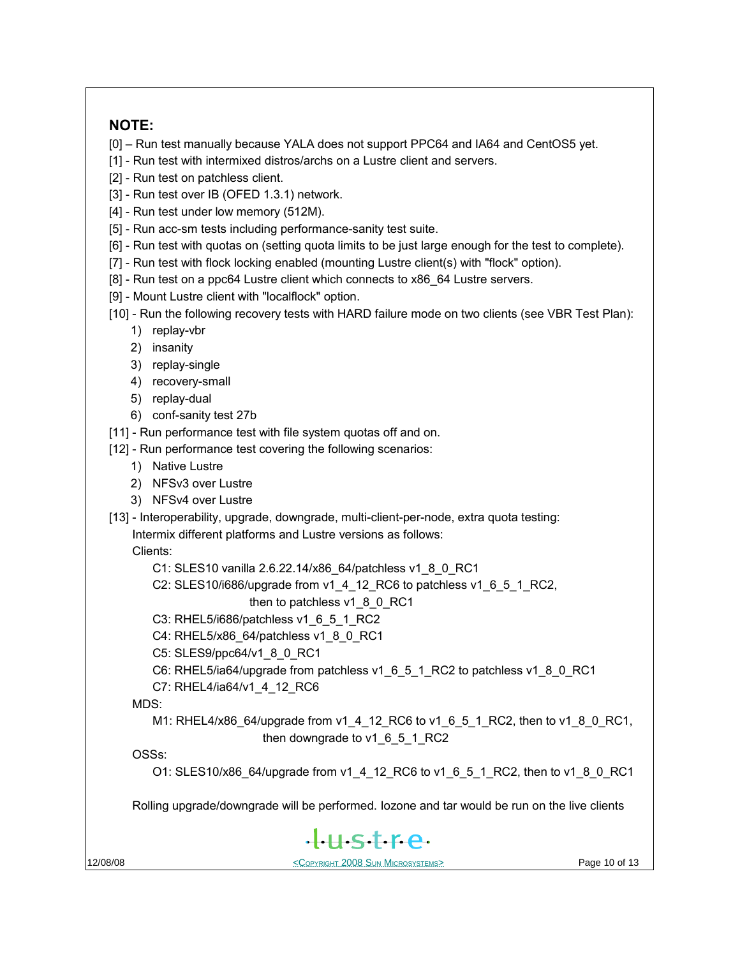## **NOTE:**

[0] – Run test manually because YALA does not support PPC64 and IA64 and CentOS5 yet.

- [1] Run test with intermixed distros/archs on a Lustre client and servers.
- [2] Run test on patchless client.
- [3] Run test over IB (OFED 1.3.1) network.
- [4] Run test under low memory (512M).
- [5] Run acc-sm tests including performance-sanity test suite.
- [6] Run test with quotas on (setting quota limits to be just large enough for the test to complete).
- [7] Run test with flock locking enabled (mounting Lustre client(s) with "flock" option).
- [8] Run test on a ppc64 Lustre client which connects to x86\_64 Lustre servers.
- [9] Mount Lustre client with "localflock" option.
- [10] Run the following recovery tests with HARD failure mode on two clients (see VBR Test Plan):
	- 1) replay-vbr
	- 2) insanity
	- 3) replay-single
	- 4) recovery-small
	- 5) replay-dual
	- 6) conf-sanity test 27b
- [11] Run performance test with file system quotas off and on.
- [12] Run performance test covering the following scenarios:
	- 1) Native Lustre
	- 2) NFSv3 over Lustre
	- 3) NFSv4 over Lustre
- [13] Interoperability, upgrade, downgrade, multi-client-per-node, extra quota testing:

Intermix different platforms and Lustre versions as follows:

Clients:

- C1: SLES10 vanilla 2.6.22.14/x86\_64/patchless v1\_8\_0\_RC1
- C2: SLES10/i686/upgrade from v1\_4\_12\_RC6 to patchless v1\_6\_5\_1\_RC2,
	- then to patchless v1\_8\_0\_RC1
- C3: RHEL5/i686/patchless v1\_6\_5\_1\_RC2
- C4: RHEL5/x86\_64/patchless v1\_8\_0\_RC1
- C5: SLES9/ppc64/v1\_8\_0\_RC1
- C6: RHEL5/ia64/upgrade from patchless v1\_6\_5\_1\_RC2 to patchless v1\_8\_0\_RC1
- C7: RHEL4/ia64/v1\_4\_12\_RC6

MDS:

M1: RHEL4/x86\_64/upgrade from v1\_4\_12\_RC6 to v1\_6\_5\_1\_RC2, then to v1\_8\_0\_RC1, then downgrade to v1\_6\_5\_1\_RC2

OSSs:

O1: SLES10/x86\_64/upgrade from v1\_4\_12\_RC6 to v1\_6\_5\_1\_RC2, then to v1\_8\_0\_RC1

Rolling upgrade/downgrade will be performed. Iozone and tar would be run on the live clients

# $H<sub>5</sub>$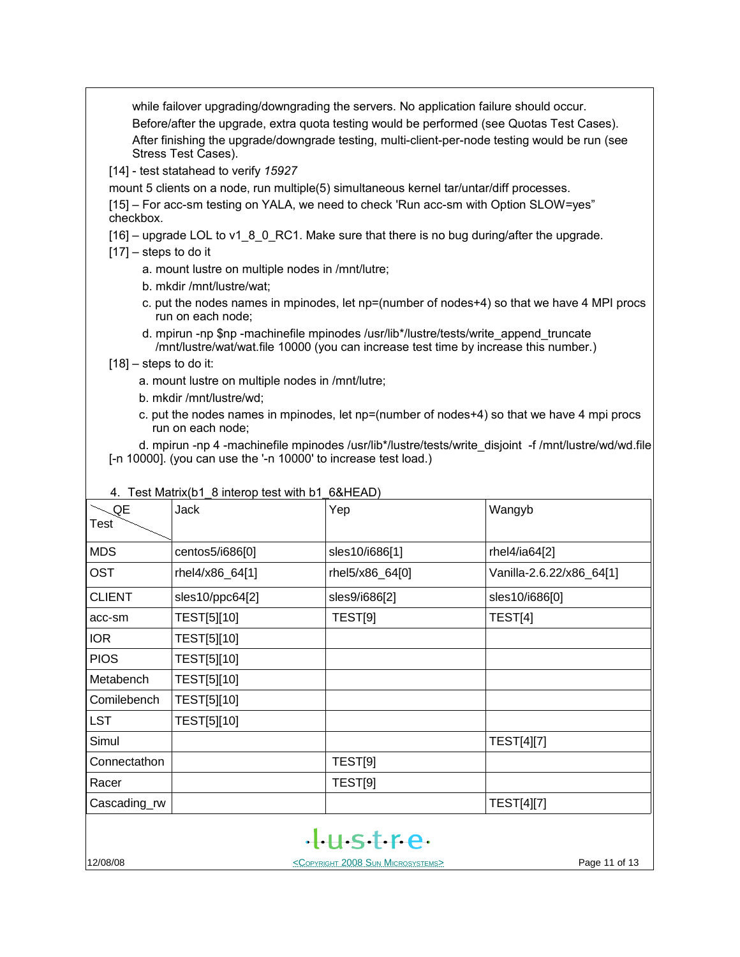while failover upgrading/downgrading the servers. No application failure should occur. Before/after the upgrade, extra quota testing would be performed (see Quotas Test Cases). After finishing the upgrade/downgrade testing, multi-client-per-node testing would be run (see Stress Test Cases).

[14] - test statahead to verify *15927*

mount 5 clients on a node, run multiple(5) simultaneous kernel tar/untar/diff processes.

[15] – For acc-sm testing on YALA, we need to check 'Run acc-sm with Option SLOW=yes" checkbox.

 $[16]$  – upgrade LOL to v1–8–0. RC1. Make sure that there is no bug during/after the upgrade.

- $[17]$  steps to do it
	- a. mount lustre on multiple nodes in /mnt/lutre;
	- b. mkdir /mnt/lustre/wat;
	- c. put the nodes names in mpinodes, let np=(number of nodes+4) so that we have 4 MPI procs run on each node;
	- d. mpirun -np \$np -machinefile mpinodes /usr/lib\*/lustre/tests/write\_append\_truncate /mnt/lustre/wat/wat.file 10000 (you can increase test time by increase this number.)
- $[18]$  steps to do it:
	- a. mount lustre on multiple nodes in /mnt/lutre;
	- b. mkdir /mnt/lustre/wd;
	- c. put the nodes names in mpinodes, let np=(number of nodes+4) so that we have 4 mpi procs run on each node;

 d. mpirun -np 4 -machinefile mpinodes /usr/lib\*/lustre/tests/write\_disjoint -f /mnt/lustre/wd/wd.file [-n 10000]. (you can use the '-n 10000' to increase test load.)

|               | $\tau$ . I can matrix to interrup teat with b i context $\rho$ |                                                        |                          |
|---------------|----------------------------------------------------------------|--------------------------------------------------------|--------------------------|
| QE<br>Test    | <b>Jack</b>                                                    | Yep                                                    | Wangyb                   |
| <b>MDS</b>    | centos5/i686[0]                                                | sles10/i686[1]                                         | rhel4/ia64[2]            |
| <b>OST</b>    | rhel4/x86_64[1]                                                | rhel5/x86_64[0]                                        | Vanilla-2.6.22/x86_64[1] |
| <b>CLIENT</b> | sles10/ppc64[2]                                                | sles9/i686[2]                                          | sles10/i686[0]           |
| acc-sm        | TEST[5][10]                                                    | TEST[9]                                                | TEST[4]                  |
| <b>IOR</b>    | TEST[5][10]                                                    |                                                        |                          |
| <b>PIOS</b>   | TEST[5][10]                                                    |                                                        |                          |
| Metabench     | TEST[5][10]                                                    |                                                        |                          |
| Comilebench   | TEST[5][10]                                                    |                                                        |                          |
| <b>LST</b>    | TEST[5][10]                                                    |                                                        |                          |
| Simul         |                                                                |                                                        | <b>TEST[4][7]</b>        |
| Connectathon  |                                                                | TEST[9]                                                |                          |
| Racer         |                                                                | TEST[9]                                                |                          |
| Cascading_rw  |                                                                |                                                        | <b>TEST[4][7]</b>        |
|               |                                                                | tustre.                                                |                          |
| 12/08/08      |                                                                | <copyright 2008="" microsystems="" sun=""></copyright> | Page 11 of 13            |

#### 4. Test Matrix(b1\_8 interop test with b1\_6&HEAD)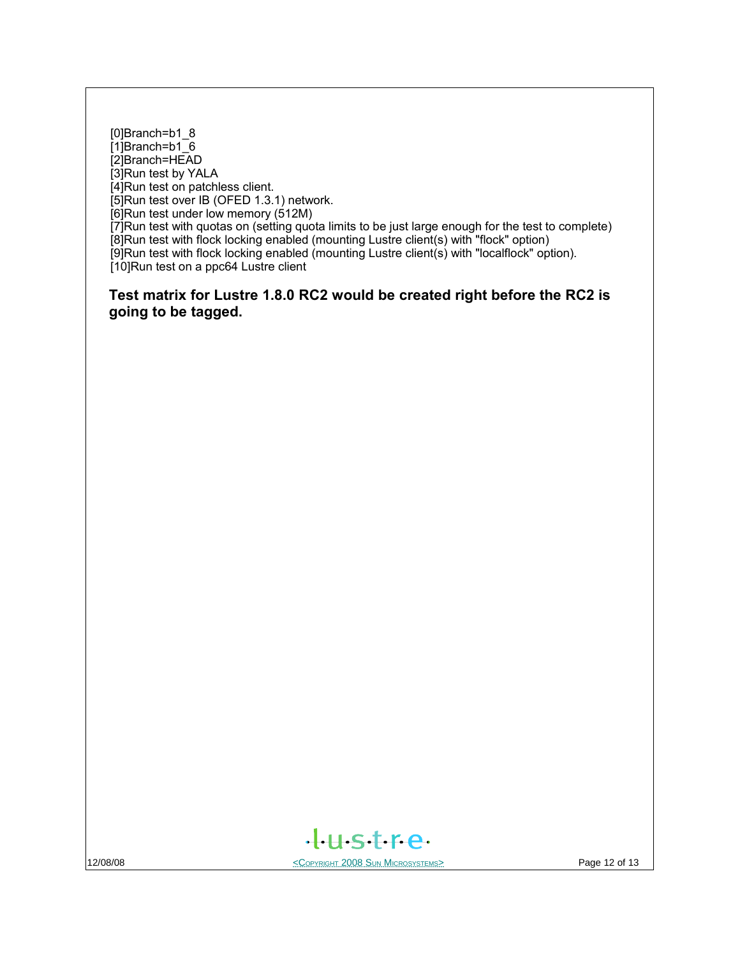[0]Branch=b1\_8 [1]Branch=b1<sup>6</sup> [2]Branch=HEAD [3]Run test by YALA [4]Run test on patchless client. [5]Run test over IB (OFED 1.3.1) network. [6]Run test under low memory (512M) [7]Run test with quotas on (setting quota limits to be just large enough for the test to complete) [8]Run test with flock locking enabled (mounting Lustre client(s) with "flock" option) [9]Run test with flock locking enabled (mounting Lustre client(s) with "localflock" option). [10]Run test on a ppc64 Lustre client

**Test matrix for Lustre 1.8.0 RC2 would be created right before the RC2 is going to be tagged.**



12/08/08 **Page 12 of 13** SUN MICROSYSTEMS **COPYRIGHT 2008 SUN MICROSYSTEMS**